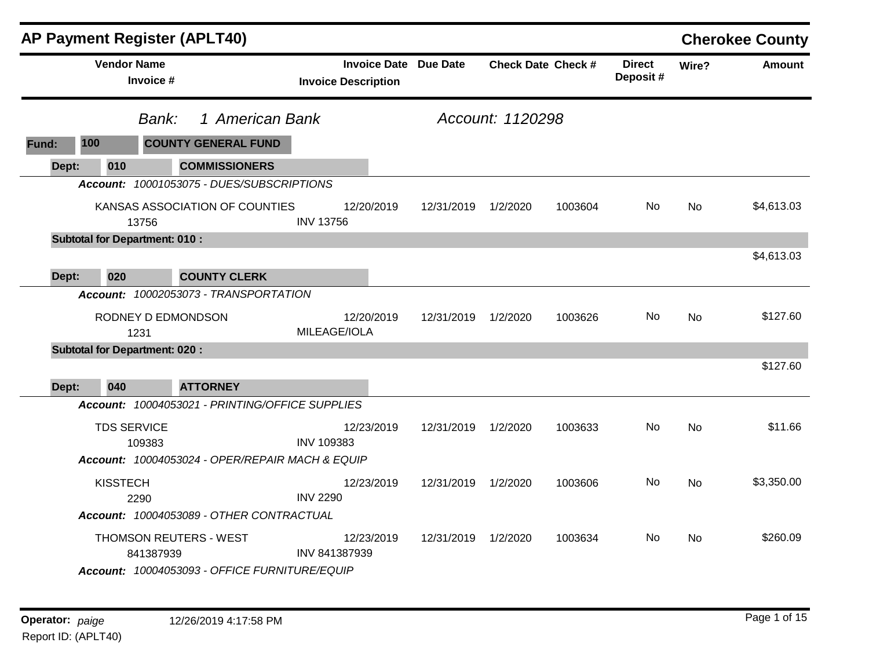|       | AP Payment Register (APLT40)         |                                            |                                                 |                      |                                                            |                     |                  |                           |                           |           | <b>Cherokee County</b> |
|-------|--------------------------------------|--------------------------------------------|-------------------------------------------------|----------------------|------------------------------------------------------------|---------------------|------------------|---------------------------|---------------------------|-----------|------------------------|
|       | <b>Vendor Name</b>                   | Invoice #                                  |                                                 |                      | <b>Invoice Date Due Date</b><br><b>Invoice Description</b> |                     |                  | <b>Check Date Check #</b> | <b>Direct</b><br>Deposit# | Wire?     | <b>Amount</b>          |
|       |                                      | Bank:                                      | 1 American Bank                                 |                      |                                                            |                     | Account: 1120298 |                           |                           |           |                        |
| Fund: | 100                                  |                                            | <b>COUNTY GENERAL FUND</b>                      |                      |                                                            |                     |                  |                           |                           |           |                        |
| Dept: | 010                                  |                                            | <b>COMMISSIONERS</b>                            |                      |                                                            |                     |                  |                           |                           |           |                        |
|       |                                      |                                            | Account: 10001053075 - DUES/SUBSCRIPTIONS       |                      |                                                            |                     |                  |                           |                           |           |                        |
|       |                                      | 13756                                      | KANSAS ASSOCIATION OF COUNTIES                  | <b>INV 13756</b>     | 12/20/2019                                                 | 12/31/2019          | 1/2/2020         | 1003604                   | No.                       | <b>No</b> | \$4,613.03             |
|       | <b>Subtotal for Department: 010:</b> |                                            |                                                 |                      |                                                            |                     |                  |                           |                           |           |                        |
| Dept: | 020                                  |                                            | <b>COUNTY CLERK</b>                             |                      |                                                            |                     |                  |                           |                           |           | \$4,613.03             |
|       |                                      |                                            | Account: 10002053073 - TRANSPORTATION           |                      |                                                            |                     |                  |                           |                           |           |                        |
|       |                                      | RODNEY D EDMONDSON<br>1231                 |                                                 | MILEAGE/IOLA         | 12/20/2019                                                 | 12/31/2019          | 1/2/2020         | 1003626                   | <b>No</b>                 | <b>No</b> | \$127.60               |
|       | <b>Subtotal for Department: 020:</b> |                                            |                                                 |                      |                                                            |                     |                  |                           |                           |           |                        |
| Dept: | 040                                  |                                            | <b>ATTORNEY</b>                                 |                      |                                                            |                     |                  |                           |                           |           | \$127.60               |
|       |                                      |                                            | Account: 10004053021 - PRINTING/OFFICE SUPPLIES |                      |                                                            |                     |                  |                           |                           |           |                        |
|       | <b>TDS SERVICE</b>                   | 109383                                     |                                                 | <b>INV 109383</b>    | 12/23/2019                                                 | 12/31/2019          | 1/2/2020         | 1003633                   | <b>No</b>                 | <b>No</b> | \$11.66                |
|       |                                      |                                            | Account: 10004053024 - OPER/REPAIR MACH & EQUIP |                      |                                                            |                     |                  |                           |                           |           |                        |
|       | <b>KISSTECH</b>                      | 2290                                       | Account: 10004053089 - OTHER CONTRACTUAL        | <b>INV 2290</b>      | 12/23/2019                                                 | 12/31/2019 1/2/2020 |                  | 1003606                   | No.                       | No        | \$3,350.00             |
|       |                                      | <b>THOMSON REUTERS - WEST</b><br>841387939 | Account: 10004053093 - OFFICE FURNITURE/EQUIP   | <b>INV 841387939</b> | 12/23/2019                                                 | 12/31/2019          | 1/2/2020         | 1003634                   | No.                       | No        | \$260.09               |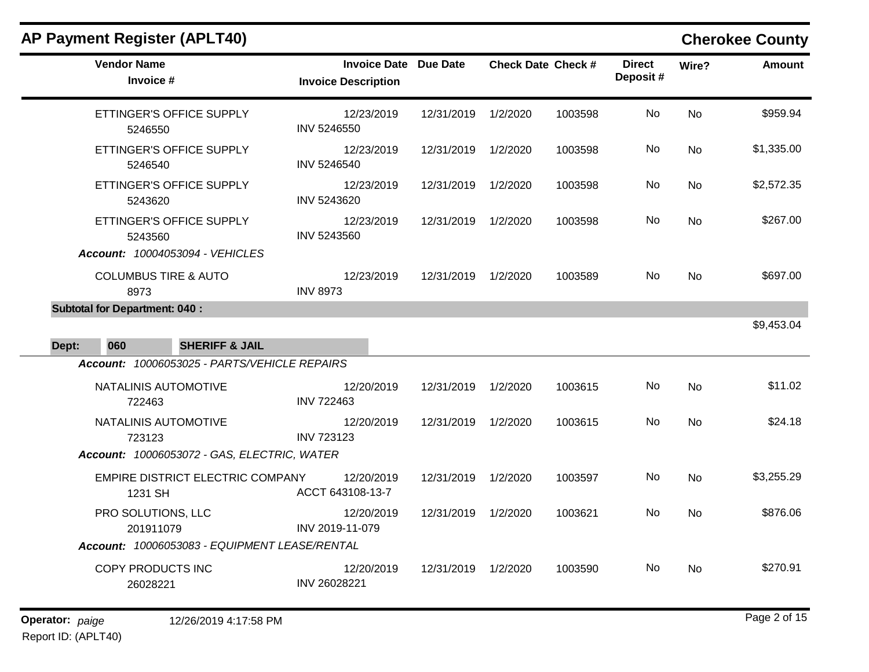# **AP Payment Register (APLT40) Cherokee County**

| <b>Vendor Name</b><br>Invoice #                                        | <b>Invoice Date Due Date</b><br><b>Invoice Description</b> |            | <b>Check Date Check #</b> |         | <b>Direct</b><br>Deposit# | Wire?     | <b>Amount</b> |
|------------------------------------------------------------------------|------------------------------------------------------------|------------|---------------------------|---------|---------------------------|-----------|---------------|
| ETTINGER'S OFFICE SUPPLY<br>5246550                                    | 12/23/2019<br>INV 5246550                                  | 12/31/2019 | 1/2/2020                  | 1003598 | No                        | <b>No</b> | \$959.94      |
| ETTINGER'S OFFICE SUPPLY<br>5246540                                    | 12/23/2019<br>INV 5246540                                  | 12/31/2019 | 1/2/2020                  | 1003598 | No                        | <b>No</b> | \$1,335.00    |
| ETTINGER'S OFFICE SUPPLY<br>5243620                                    | 12/23/2019<br>INV 5243620                                  | 12/31/2019 | 1/2/2020                  | 1003598 | No.                       | <b>No</b> | \$2,572.35    |
| ETTINGER'S OFFICE SUPPLY<br>5243560<br>Account: 10004053094 - VEHICLES | 12/23/2019<br>INV 5243560                                  | 12/31/2019 | 1/2/2020                  | 1003598 | No.                       | <b>No</b> | \$267.00      |
| <b>COLUMBUS TIRE &amp; AUTO</b><br>8973                                | 12/23/2019<br><b>INV 8973</b>                              | 12/31/2019 | 1/2/2020                  | 1003589 | <b>No</b>                 | <b>No</b> | \$697.00      |
| <b>Subtotal for Department: 040:</b>                                   |                                                            |            |                           |         |                           |           |               |
|                                                                        |                                                            |            |                           |         |                           |           | \$9,453.04    |
| <b>SHERIFF &amp; JAIL</b><br>060<br>Dept:                              |                                                            |            |                           |         |                           |           |               |
| Account: 10006053025 - PARTS/VEHICLE REPAIRS                           |                                                            |            |                           |         |                           |           |               |
| NATALINIS AUTOMOTIVE<br>722463                                         | 12/20/2019<br><b>INV 722463</b>                            | 12/31/2019 | 1/2/2020                  | 1003615 | No.                       | <b>No</b> | \$11.02       |
| NATALINIS AUTOMOTIVE<br>723123                                         | 12/20/2019<br><b>INV 723123</b>                            | 12/31/2019 | 1/2/2020                  | 1003615 | No.                       | No.       | \$24.18       |
| Account: 10006053072 - GAS, ELECTRIC, WATER                            |                                                            |            |                           |         |                           |           |               |
| EMPIRE DISTRICT ELECTRIC COMPANY<br>1231 SH                            | 12/20/2019<br>ACCT 643108-13-7                             | 12/31/2019 | 1/2/2020                  | 1003597 | No                        | <b>No</b> | \$3,255.29    |
| PRO SOLUTIONS, LLC<br>201911079                                        | 12/20/2019<br>INV 2019-11-079                              | 12/31/2019 | 1/2/2020                  | 1003621 | No.                       | No.       | \$876.06      |
| Account: 10006053083 - EQUIPMENT LEASE/RENTAL                          |                                                            |            |                           |         |                           |           |               |
| COPY PRODUCTS INC<br>26028221                                          | 12/20/2019<br>INV 26028221                                 | 12/31/2019 | 1/2/2020                  | 1003590 | No.                       | No        | \$270.91      |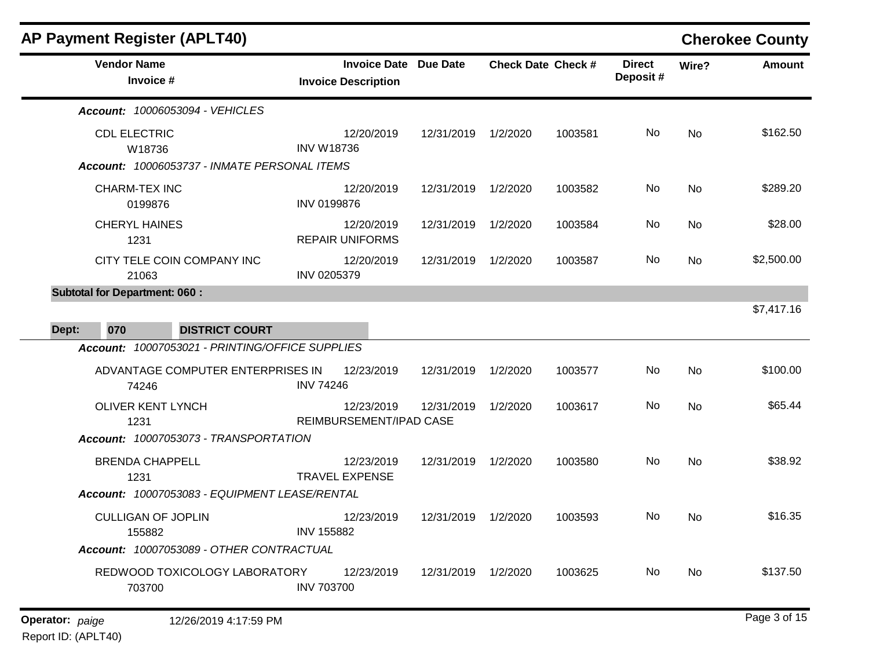| <b>AP Payment Register (APLT40)</b>             |                                                            |                     |          |                           |                           |           | <b>Cherokee County</b> |
|-------------------------------------------------|------------------------------------------------------------|---------------------|----------|---------------------------|---------------------------|-----------|------------------------|
| <b>Vendor Name</b><br>Invoice #                 | <b>Invoice Date Due Date</b><br><b>Invoice Description</b> |                     |          | <b>Check Date Check #</b> | <b>Direct</b><br>Deposit# | Wire?     | <b>Amount</b>          |
| Account: 10006053094 - VEHICLES                 |                                                            |                     |          |                           |                           |           |                        |
| <b>CDL ELECTRIC</b><br>W18736                   | 12/20/2019<br><b>INV W18736</b>                            | 12/31/2019          | 1/2/2020 | 1003581                   | No                        | <b>No</b> | \$162.50               |
| Account: 10006053737 - INMATE PERSONAL ITEMS    |                                                            |                     |          |                           |                           |           |                        |
| <b>CHARM-TEX INC</b><br>0199876                 | 12/20/2019<br><b>INV 0199876</b>                           | 12/31/2019          | 1/2/2020 | 1003582                   | No                        | No        | \$289.20               |
| <b>CHERYL HAINES</b><br>1231                    | 12/20/2019<br><b>REPAIR UNIFORMS</b>                       | 12/31/2019          | 1/2/2020 | 1003584                   | No.                       | <b>No</b> | \$28.00                |
| CITY TELE COIN COMPANY INC<br>21063             | 12/20/2019<br>INV 0205379                                  | 12/31/2019 1/2/2020 |          | 1003587                   | No.                       | No        | \$2,500.00             |
| <b>Subtotal for Department: 060:</b>            |                                                            |                     |          |                           |                           |           |                        |
| Dept:<br>070<br><b>DISTRICT COURT</b>           |                                                            |                     |          |                           |                           |           | \$7,417.16             |
| Account: 10007053021 - PRINTING/OFFICE SUPPLIES |                                                            |                     |          |                           |                           |           |                        |
| ADVANTAGE COMPUTER ENTERPRISES IN<br>74246      | 12/23/2019<br><b>INV 74246</b>                             | 12/31/2019          | 1/2/2020 | 1003577                   | No                        | <b>No</b> | \$100.00               |
| <b>OLIVER KENT LYNCH</b><br>1231                | 12/23/2019<br>REIMBURSEMENT/IPAD CASE                      | 12/31/2019          | 1/2/2020 | 1003617                   | No.                       | No        | \$65.44                |
| Account: 10007053073 - TRANSPORTATION           |                                                            |                     |          |                           |                           |           |                        |
| <b>BRENDA CHAPPELL</b><br>1231                  | 12/23/2019<br><b>TRAVEL EXPENSE</b>                        | 12/31/2019          | 1/2/2020 | 1003580                   | No.                       | <b>No</b> | \$38.92                |
| Account: 10007053083 - EQUIPMENT LEASE/RENTAL   |                                                            |                     |          |                           |                           |           |                        |
| <b>CULLIGAN OF JOPLIN</b><br>155882             | 12/23/2019<br><b>INV 155882</b>                            | 12/31/2019          | 1/2/2020 | 1003593                   | No.                       | <b>No</b> | \$16.35                |
| Account: 10007053089 - OTHER CONTRACTUAL        |                                                            |                     |          |                           |                           |           |                        |
| REDWOOD TOXICOLOGY LABORATORY<br>703700         | 12/23/2019<br><b>INV 703700</b>                            | 12/31/2019          | 1/2/2020 | 1003625                   | No                        | <b>No</b> | \$137.50               |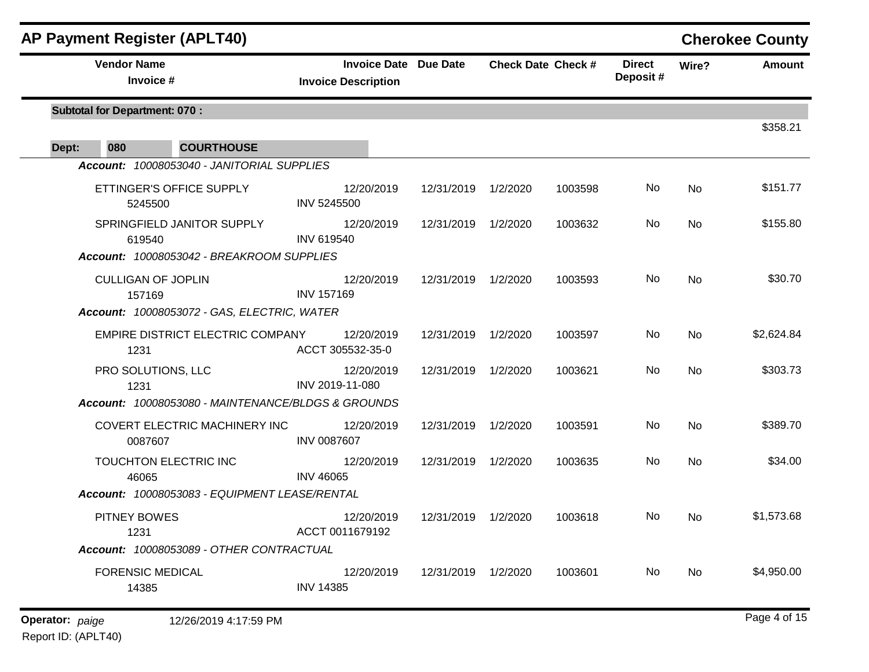|                                      | <b>AP Payment Register (APLT40)</b>                |                                                            |                     |                           |         |                           |       | <b>Cherokee County</b> |
|--------------------------------------|----------------------------------------------------|------------------------------------------------------------|---------------------|---------------------------|---------|---------------------------|-------|------------------------|
| <b>Vendor Name</b>                   | Invoice #                                          | <b>Invoice Date Due Date</b><br><b>Invoice Description</b> |                     | <b>Check Date Check #</b> |         | <b>Direct</b><br>Deposit# | Wire? | <b>Amount</b>          |
| <b>Subtotal for Department: 070:</b> |                                                    |                                                            |                     |                           |         |                           |       |                        |
| 080<br>Dept:                         | <b>COURTHOUSE</b>                                  |                                                            |                     |                           |         |                           |       | \$358.21               |
|                                      | Account: 10008053040 - JANITORIAL SUPPLIES         |                                                            |                     |                           |         |                           |       |                        |
|                                      | ETTINGER'S OFFICE SUPPLY<br>5245500                | 12/20/2019<br><b>INV 5245500</b>                           | 12/31/2019          | 1/2/2020                  | 1003598 | No                        | No    | \$151.77               |
|                                      | SPRINGFIELD JANITOR SUPPLY<br>619540               | 12/20/2019<br><b>INV 619540</b>                            | 12/31/2019 1/2/2020 |                           | 1003632 | No                        | No    | \$155.80               |
|                                      | Account: 10008053042 - BREAKROOM SUPPLIES          |                                                            |                     |                           |         |                           |       |                        |
|                                      | <b>CULLIGAN OF JOPLIN</b><br>157169                | 12/20/2019<br><b>INV 157169</b>                            | 12/31/2019 1/2/2020 |                           | 1003593 | No                        | No    | \$30.70                |
|                                      | Account: 10008053072 - GAS, ELECTRIC, WATER        |                                                            |                     |                           |         |                           |       |                        |
| 1231                                 | EMPIRE DISTRICT ELECTRIC COMPANY                   | 12/20/2019<br>ACCT 305532-35-0                             | 12/31/2019          | 1/2/2020                  | 1003597 | No                        | No    | \$2,624.84             |
| 1231                                 | PRO SOLUTIONS, LLC                                 | 12/20/2019<br>INV 2019-11-080                              | 12/31/2019 1/2/2020 |                           | 1003621 | No                        | No    | \$303.73               |
|                                      | Account: 10008053080 - MAINTENANCE/BLDGS & GROUNDS |                                                            |                     |                           |         |                           |       |                        |
|                                      | COVERT ELECTRIC MACHINERY INC<br>0087607           | 12/20/2019<br><b>INV 0087607</b>                           | 12/31/2019          | 1/2/2020                  | 1003591 | No                        | No    | \$389.70               |
|                                      | TOUCHTON ELECTRIC INC<br>46065                     | 12/20/2019<br><b>INV 46065</b>                             | 12/31/2019 1/2/2020 |                           | 1003635 | No                        | No    | \$34.00                |
|                                      | Account: 10008053083 - EQUIPMENT LEASE/RENTAL      |                                                            |                     |                           |         |                           |       |                        |
| PITNEY BOWES<br>1231                 |                                                    | 12/20/2019<br>ACCT 0011679192                              | 12/31/2019          | 1/2/2020                  | 1003618 | No                        | No.   | \$1,573.68             |
|                                      | Account: 10008053089 - OTHER CONTRACTUAL           |                                                            |                     |                           |         |                           |       |                        |
|                                      | <b>FORENSIC MEDICAL</b><br>14385                   | 12/20/2019<br><b>INV 14385</b>                             | 12/31/2019 1/2/2020 |                           | 1003601 | No                        | No    | \$4,950.00             |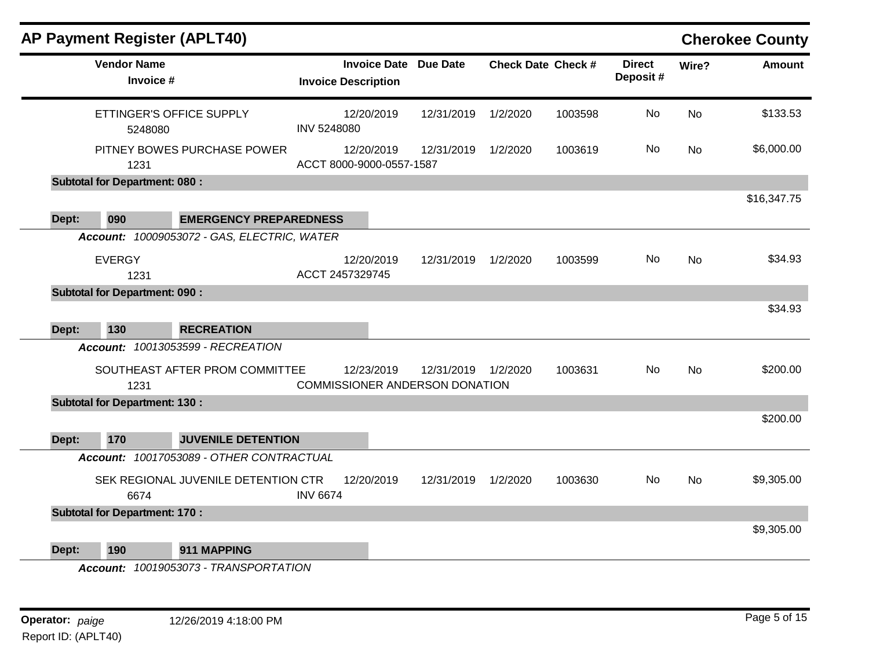|       | <b>AP Payment Register (APLT40)</b>  |                                                                       |                                                     |            |                              |                           |         |                           |           | <b>Cherokee County</b> |
|-------|--------------------------------------|-----------------------------------------------------------------------|-----------------------------------------------------|------------|------------------------------|---------------------------|---------|---------------------------|-----------|------------------------|
|       | <b>Vendor Name</b><br>Invoice #      |                                                                       | <b>Invoice Description</b>                          |            | <b>Invoice Date Due Date</b> | <b>Check Date Check #</b> |         | <b>Direct</b><br>Deposit# | Wire?     | <b>Amount</b>          |
|       | ETTINGER'S OFFICE SUPPLY<br>5248080  |                                                                       | INV 5248080                                         | 12/20/2019 | 12/31/2019                   | 1/2/2020                  | 1003598 | No                        | <b>No</b> | \$133.53               |
|       | 1231                                 | PITNEY BOWES PURCHASE POWER                                           | ACCT 8000-9000-0557-1587                            | 12/20/2019 | 12/31/2019                   | 1/2/2020                  | 1003619 | No                        | <b>No</b> | \$6,000.00             |
|       | <b>Subtotal for Department: 080:</b> |                                                                       |                                                     |            |                              |                           |         |                           |           |                        |
| Dept: | 090                                  | <b>EMERGENCY PREPAREDNESS</b>                                         |                                                     |            |                              |                           |         |                           |           | \$16,347.75            |
|       |                                      | Account: 10009053072 - GAS, ELECTRIC, WATER                           |                                                     |            |                              |                           |         |                           |           |                        |
|       | <b>EVERGY</b><br>1231                |                                                                       | ACCT 2457329745                                     | 12/20/2019 | 12/31/2019                   | 1/2/2020                  | 1003599 | No                        | No        | \$34.93                |
|       | <b>Subtotal for Department: 090:</b> |                                                                       |                                                     |            |                              |                           |         |                           |           |                        |
| Dept: | 130                                  | <b>RECREATION</b>                                                     |                                                     |            |                              |                           |         |                           |           | \$34.93                |
|       |                                      | Account: 10013053599 - RECREATION                                     |                                                     |            |                              |                           |         |                           |           |                        |
|       | SOUTHEAST AFTER PROM COMMITTEE       |                                                                       |                                                     |            |                              |                           | 1003631 | <b>No</b>                 |           |                        |
|       | 1231                                 |                                                                       | 12/23/2019<br><b>COMMISSIONER ANDERSON DONATION</b> |            | 12/31/2019                   | 1/2/2020                  |         |                           | No        | \$200.00               |
|       | <b>Subtotal for Department: 130:</b> |                                                                       |                                                     |            |                              |                           |         |                           |           |                        |
|       |                                      |                                                                       |                                                     |            |                              |                           |         |                           |           | \$200.00               |
| Dept: | 170                                  | <b>JUVENILE DETENTION</b><br>Account: 10017053089 - OTHER CONTRACTUAL |                                                     |            |                              |                           |         |                           |           |                        |
|       | 6674                                 | SEK REGIONAL JUVENILE DETENTION CTR                                   | <b>INV 6674</b>                                     | 12/20/2019 | 12/31/2019                   | 1/2/2020                  | 1003630 | No.                       | No        | \$9,305.00             |
|       | <b>Subtotal for Department: 170:</b> |                                                                       |                                                     |            |                              |                           |         |                           |           |                        |
| Dept: | 190                                  | 911 MAPPING                                                           |                                                     |            |                              |                           |         |                           |           | \$9,305.00             |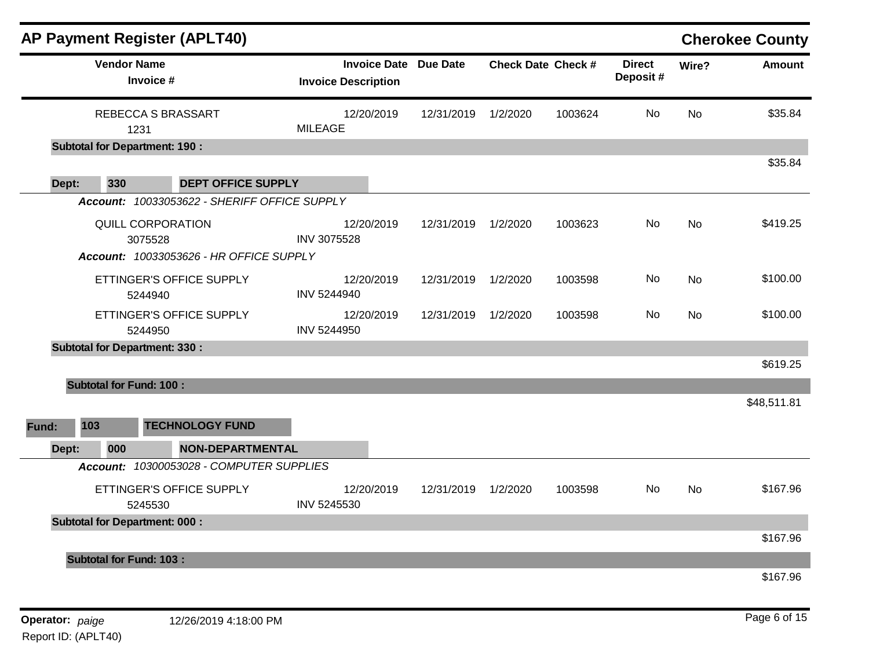|       |                                      |                                 | <b>AP Payment Register (APLT40)</b>                                       |                            |            |                              |                           |         |                           |           | <b>Cherokee County</b> |
|-------|--------------------------------------|---------------------------------|---------------------------------------------------------------------------|----------------------------|------------|------------------------------|---------------------------|---------|---------------------------|-----------|------------------------|
|       |                                      | <b>Vendor Name</b><br>Invoice # |                                                                           | <b>Invoice Description</b> |            | <b>Invoice Date Due Date</b> | <b>Check Date Check #</b> |         | <b>Direct</b><br>Deposit# | Wire?     | <b>Amount</b>          |
|       |                                      | 1231                            | REBECCA S BRASSART                                                        | <b>MILEAGE</b>             | 12/20/2019 | 12/31/2019                   | 1/2/2020                  | 1003624 | No                        | <b>No</b> | \$35.84                |
|       | <b>Subtotal for Department: 190:</b> |                                 |                                                                           |                            |            |                              |                           |         |                           |           |                        |
|       |                                      |                                 |                                                                           |                            |            |                              |                           |         |                           |           | \$35.84                |
|       | Dept:<br>330                         |                                 | <b>DEPT OFFICE SUPPLY</b><br>Account: 10033053622 - SHERIFF OFFICE SUPPLY |                            |            |                              |                           |         |                           |           |                        |
|       |                                      |                                 |                                                                           |                            |            |                              |                           |         |                           |           |                        |
|       |                                      | QUILL CORPORATION<br>3075528    |                                                                           | <b>INV 3075528</b>         | 12/20/2019 | 12/31/2019                   | 1/2/2020                  | 1003623 | No                        | <b>No</b> | \$419.25               |
|       |                                      |                                 | Account: 10033053626 - HR OFFICE SUPPLY                                   |                            |            |                              |                           |         |                           |           |                        |
|       |                                      |                                 |                                                                           |                            |            |                              |                           |         | No                        |           | \$100.00               |
|       |                                      | 5244940                         | ETTINGER'S OFFICE SUPPLY                                                  | INV 5244940                | 12/20/2019 | 12/31/2019                   | 1/2/2020                  | 1003598 |                           | <b>No</b> |                        |
|       |                                      |                                 | ETTINGER'S OFFICE SUPPLY                                                  |                            | 12/20/2019 | 12/31/2019                   | 1/2/2020                  | 1003598 | No.                       | No        | \$100.00               |
|       |                                      | 5244950                         |                                                                           | INV 5244950                |            |                              |                           |         |                           |           |                        |
|       | <b>Subtotal for Department: 330:</b> |                                 |                                                                           |                            |            |                              |                           |         |                           |           |                        |
|       |                                      |                                 |                                                                           |                            |            |                              |                           |         |                           |           | \$619.25               |
|       | <b>Subtotal for Fund: 100:</b>       |                                 |                                                                           |                            |            |                              |                           |         |                           |           |                        |
|       |                                      |                                 |                                                                           |                            |            |                              |                           |         |                           |           | \$48,511.81            |
| Fund: | 103                                  |                                 | <b>TECHNOLOGY FUND</b>                                                    |                            |            |                              |                           |         |                           |           |                        |
|       | Dept:<br>000                         |                                 | <b>NON-DEPARTMENTAL</b>                                                   |                            |            |                              |                           |         |                           |           |                        |
|       |                                      |                                 | Account: 10300053028 - COMPUTER SUPPLIES                                  |                            |            |                              |                           |         |                           |           |                        |
|       |                                      |                                 | ETTINGER'S OFFICE SUPPLY                                                  |                            | 12/20/2019 | 12/31/2019                   | 1/2/2020                  | 1003598 | No.                       | <b>No</b> | \$167.96               |
|       |                                      | 5245530                         |                                                                           | INV 5245530                |            |                              |                           |         |                           |           |                        |
|       | <b>Subtotal for Department: 000:</b> |                                 |                                                                           |                            |            |                              |                           |         |                           |           |                        |
|       |                                      |                                 |                                                                           |                            |            |                              |                           |         |                           |           | \$167.96               |
|       | <b>Subtotal for Fund: 103:</b>       |                                 |                                                                           |                            |            |                              |                           |         |                           |           |                        |
|       |                                      |                                 |                                                                           |                            |            |                              |                           |         |                           |           | \$167.96               |
|       |                                      |                                 |                                                                           |                            |            |                              |                           |         |                           |           |                        |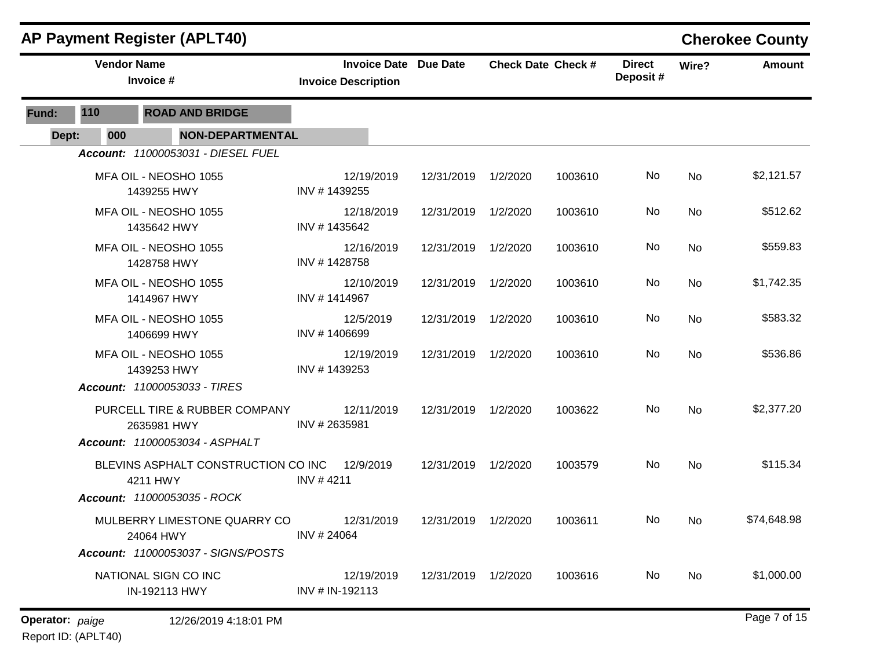|                 |                    | <b>AP Payment Register (APLT40)</b>                                             |                                                            |                     |          |                           |                           |           | <b>Cherokee County</b> |
|-----------------|--------------------|---------------------------------------------------------------------------------|------------------------------------------------------------|---------------------|----------|---------------------------|---------------------------|-----------|------------------------|
|                 | <b>Vendor Name</b> | Invoice #                                                                       | <b>Invoice Date Due Date</b><br><b>Invoice Description</b> |                     |          | <b>Check Date Check #</b> | <b>Direct</b><br>Deposit# | Wire?     | <b>Amount</b>          |
| Fund:           | 110                | <b>ROAD AND BRIDGE</b>                                                          |                                                            |                     |          |                           |                           |           |                        |
| Dept:           | 000                | <b>NON-DEPARTMENTAL</b>                                                         |                                                            |                     |          |                           |                           |           |                        |
|                 |                    | Account: 11000053031 - DIESEL FUEL                                              |                                                            |                     |          |                           |                           |           |                        |
|                 |                    | MFA OIL - NEOSHO 1055<br>1439255 HWY                                            | 12/19/2019<br>INV #1439255                                 | 12/31/2019 1/2/2020 |          | 1003610                   | No                        | No        | \$2,121.57             |
|                 |                    | MFA OIL - NEOSHO 1055<br>1435642 HWY                                            | 12/18/2019<br>INV #1435642                                 | 12/31/2019          | 1/2/2020 | 1003610                   | No                        | No        | \$512.62               |
|                 |                    | MFA OIL - NEOSHO 1055<br>1428758 HWY                                            | 12/16/2019<br>INV #1428758                                 | 12/31/2019          | 1/2/2020 | 1003610                   | No                        | No        | \$559.83               |
|                 |                    | MFA OIL - NEOSHO 1055<br>1414967 HWY                                            | 12/10/2019<br>INV #1414967                                 | 12/31/2019 1/2/2020 |          | 1003610                   | No                        | No        | \$1,742.35             |
|                 |                    | MFA OIL - NEOSHO 1055<br>1406699 HWY                                            | 12/5/2019<br>INV #1406699                                  | 12/31/2019 1/2/2020 |          | 1003610                   | No                        | No        | \$583.32               |
|                 |                    | MFA OIL - NEOSHO 1055<br>1439253 HWY<br>Account: 11000053033 - TIRES            | 12/19/2019<br>INV #1439253                                 | 12/31/2019 1/2/2020 |          | 1003610                   | No                        | No        | \$536.86               |
|                 |                    | PURCELL TIRE & RUBBER COMPANY<br>2635981 HWY<br>Account: 11000053034 - ASPHALT  | 12/11/2019<br>INV #2635981                                 | 12/31/2019 1/2/2020 |          | 1003622                   | No                        | <b>No</b> | \$2,377.20             |
|                 |                    | BLEVINS ASPHALT CONSTRUCTION CO INC<br>4211 HWY<br>Account: 11000053035 - ROCK  | 12/9/2019<br>INV #4211                                     | 12/31/2019 1/2/2020 |          | 1003579                   | No                        | No        | \$115.34               |
|                 |                    | MULBERRY LIMESTONE QUARRY CO<br>24064 HWY<br>Account: 11000053037 - SIGNS/POSTS | 12/31/2019<br>INV #24064                                   | 12/31/2019          | 1/2/2020 | 1003611                   | No.                       | No.       | \$74,648.98            |
|                 |                    | NATIONAL SIGN CO INC<br>IN-192113 HWY                                           | 12/19/2019<br>INV # IN-192113                              | 12/31/2019 1/2/2020 |          | 1003616                   | No                        | No        | \$1,000.00             |
| Operator: paige |                    | 12/26/2019 4:18:01 PM                                                           |                                                            |                     |          |                           |                           |           | Page 7 of 15           |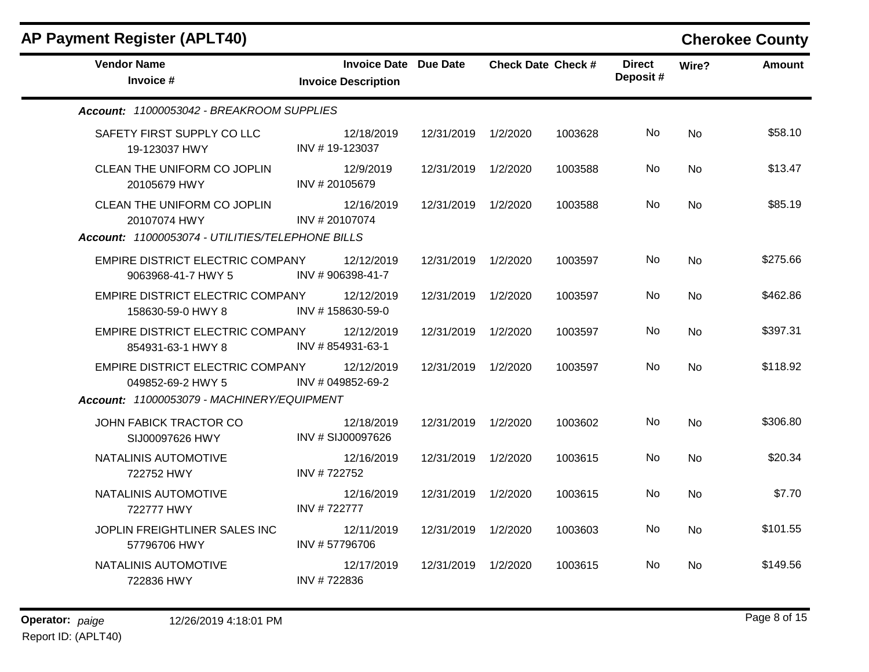| <b>Vendor Name</b><br>Invoice #                                  | <b>Invoice Date Due Date</b><br><b>Invoice Description</b> |                     | <b>Check Date Check #</b> |         | <b>Direct</b><br>Deposit# | Wire?     | <b>Amount</b> |
|------------------------------------------------------------------|------------------------------------------------------------|---------------------|---------------------------|---------|---------------------------|-----------|---------------|
| Account: 11000053042 - BREAKROOM SUPPLIES                        |                                                            |                     |                           |         |                           |           |               |
| SAFETY FIRST SUPPLY CO LLC<br>19-123037 HWY                      | 12/18/2019<br>INV #19-123037                               | 12/31/2019 1/2/2020 |                           | 1003628 | No.                       | No        | \$58.10       |
| CLEAN THE UNIFORM CO JOPLIN<br>20105679 HWY                      | 12/9/2019<br>INV #20105679                                 | 12/31/2019 1/2/2020 |                           | 1003588 | <b>No</b>                 | <b>No</b> | \$13.47       |
| CLEAN THE UNIFORM CO JOPLIN<br>20107074 HWY                      | 12/16/2019<br>INV #20107074                                | 12/31/2019 1/2/2020 |                           | 1003588 | No.                       | No.       | \$85.19       |
| Account: 11000053074 - UTILITIES/TELEPHONE BILLS                 |                                                            |                     |                           |         |                           |           |               |
| <b>EMPIRE DISTRICT ELECTRIC COMPANY</b><br>9063968-41-7 HWY 5    | 12/12/2019<br>INV #906398-41-7                             | 12/31/2019 1/2/2020 |                           | 1003597 | No.                       | No        | \$275.66      |
| EMPIRE DISTRICT ELECTRIC COMPANY 12/12/2019<br>158630-59-0 HWY 8 | INV #158630-59-0                                           | 12/31/2019          | 1/2/2020                  | 1003597 | No.                       | <b>No</b> | \$462.86      |
| EMPIRE DISTRICT ELECTRIC COMPANY<br>854931-63-1 HWY 8            | 12/12/2019<br>INV #854931-63-1                             | 12/31/2019 1/2/2020 |                           | 1003597 | No.                       | <b>No</b> | \$397.31      |
| EMPIRE DISTRICT ELECTRIC COMPANY 12/12/2019<br>049852-69-2 HWY 5 | INV # 049852-69-2                                          | 12/31/2019          | 1/2/2020                  | 1003597 | No.                       | <b>No</b> | \$118.92      |
| Account: 11000053079 - MACHINERY/EQUIPMENT                       |                                                            |                     |                           |         |                           |           |               |
| JOHN FABICK TRACTOR CO<br>SIJ00097626 HWY                        | 12/18/2019<br>INV # SIJ00097626                            | 12/31/2019 1/2/2020 |                           | 1003602 | No.                       | <b>No</b> | \$306.80      |
| NATALINIS AUTOMOTIVE<br>722752 HWY                               | 12/16/2019<br>INV #722752                                  | 12/31/2019          | 1/2/2020                  | 1003615 | No.                       | <b>No</b> | \$20.34       |
| NATALINIS AUTOMOTIVE<br>722777 HWY                               | 12/16/2019<br>INV #722777                                  | 12/31/2019 1/2/2020 |                           | 1003615 | No.                       | <b>No</b> | \$7.70        |
| JOPLIN FREIGHTLINER SALES INC<br>57796706 HWY                    | 12/11/2019<br>INV #57796706                                | 12/31/2019          | 1/2/2020                  | 1003603 | No.                       | <b>No</b> | \$101.55      |
| NATALINIS AUTOMOTIVE<br>722836 HWY                               | 12/17/2019<br>INV #722836                                  | 12/31/2019 1/2/2020 |                           | 1003615 | No.                       | <b>No</b> | \$149.56      |
|                                                                  |                                                            |                     |                           |         |                           |           |               |

## **AP Payment Register (APLT40) Cherokee County**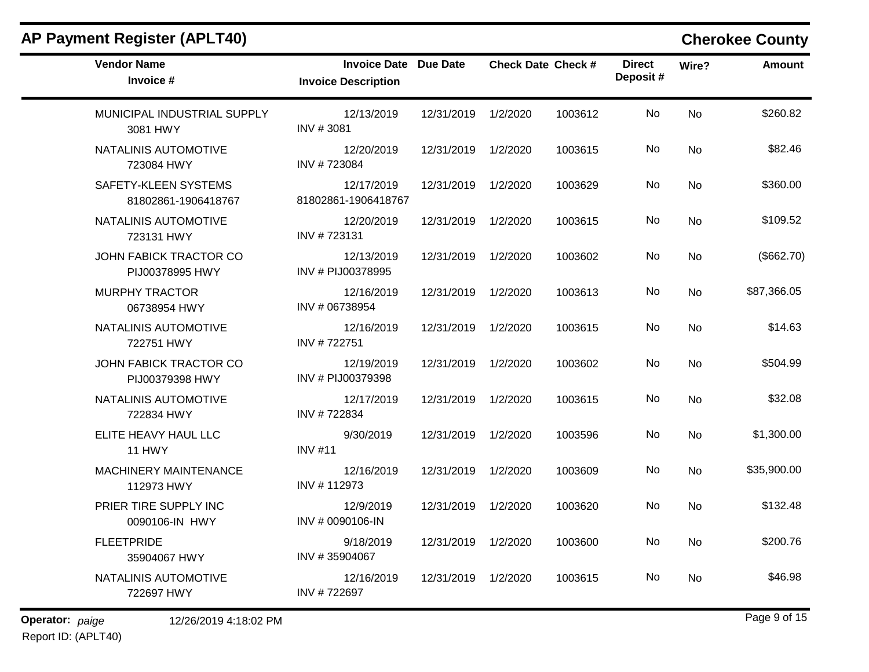## **AP Payment Register (APLT40) Cherokee County**

| <b>Vendor Name</b><br>Invoice #             | <b>Invoice Date Due Date</b><br><b>Invoice Description</b> |                     | <b>Check Date Check #</b> |         | <b>Direct</b><br>Deposit# | Wire?     | <b>Amount</b> |
|---------------------------------------------|------------------------------------------------------------|---------------------|---------------------------|---------|---------------------------|-----------|---------------|
| MUNICIPAL INDUSTRIAL SUPPLY<br>3081 HWY     | 12/13/2019<br>INV #3081                                    | 12/31/2019          | 1/2/2020                  | 1003612 | No                        | No        | \$260.82      |
| NATALINIS AUTOMOTIVE<br>723084 HWY          | 12/20/2019<br>INV #723084                                  | 12/31/2019          | 1/2/2020                  | 1003615 | No                        | <b>No</b> | \$82.46       |
| SAFETY-KLEEN SYSTEMS<br>81802861-1906418767 | 12/17/2019<br>81802861-1906418767                          | 12/31/2019          | 1/2/2020                  | 1003629 | No.                       | No        | \$360.00      |
| NATALINIS AUTOMOTIVE<br>723131 HWY          | 12/20/2019<br>INV #723131                                  | 12/31/2019          | 1/2/2020                  | 1003615 | No                        | <b>No</b> | \$109.52      |
| JOHN FABICK TRACTOR CO<br>PIJ00378995 HWY   | 12/13/2019<br>INV # PIJ00378995                            | 12/31/2019 1/2/2020 |                           | 1003602 | No                        | No        | (\$662.70)    |
| <b>MURPHY TRACTOR</b><br>06738954 HWY       | 12/16/2019<br>INV # 06738954                               | 12/31/2019 1/2/2020 |                           | 1003613 | No                        | No        | \$87,366.05   |
| NATALINIS AUTOMOTIVE<br>722751 HWY          | 12/16/2019<br>INV #722751                                  | 12/31/2019 1/2/2020 |                           | 1003615 | No                        | No        | \$14.63       |
| JOHN FABICK TRACTOR CO<br>PIJ00379398 HWY   | 12/19/2019<br>INV # PIJ00379398                            | 12/31/2019          | 1/2/2020                  | 1003602 | No                        | No        | \$504.99      |
| NATALINIS AUTOMOTIVE<br>722834 HWY          | 12/17/2019<br>INV #722834                                  | 12/31/2019          | 1/2/2020                  | 1003615 | No                        | No.       | \$32.08       |
| ELITE HEAVY HAUL LLC<br><b>11 HWY</b>       | 9/30/2019<br><b>INV #11</b>                                | 12/31/2019 1/2/2020 |                           | 1003596 | No                        | No        | \$1,300.00    |
| MACHINERY MAINTENANCE<br>112973 HWY         | 12/16/2019<br>INV #112973                                  | 12/31/2019          | 1/2/2020                  | 1003609 | No                        | <b>No</b> | \$35,900.00   |
| PRIER TIRE SUPPLY INC<br>0090106-IN HWY     | 12/9/2019<br>INV # 0090106-IN                              | 12/31/2019 1/2/2020 |                           | 1003620 | No                        | No        | \$132.48      |
| <b>FLEETPRIDE</b><br>35904067 HWY           | 9/18/2019<br>INV #35904067                                 | 12/31/2019 1/2/2020 |                           | 1003600 | No                        | <b>No</b> | \$200.76      |
| NATALINIS AUTOMOTIVE<br>722697 HWY          | 12/16/2019<br>INV #722697                                  | 12/31/2019          | 1/2/2020                  | 1003615 | No.                       | No        | \$46.98       |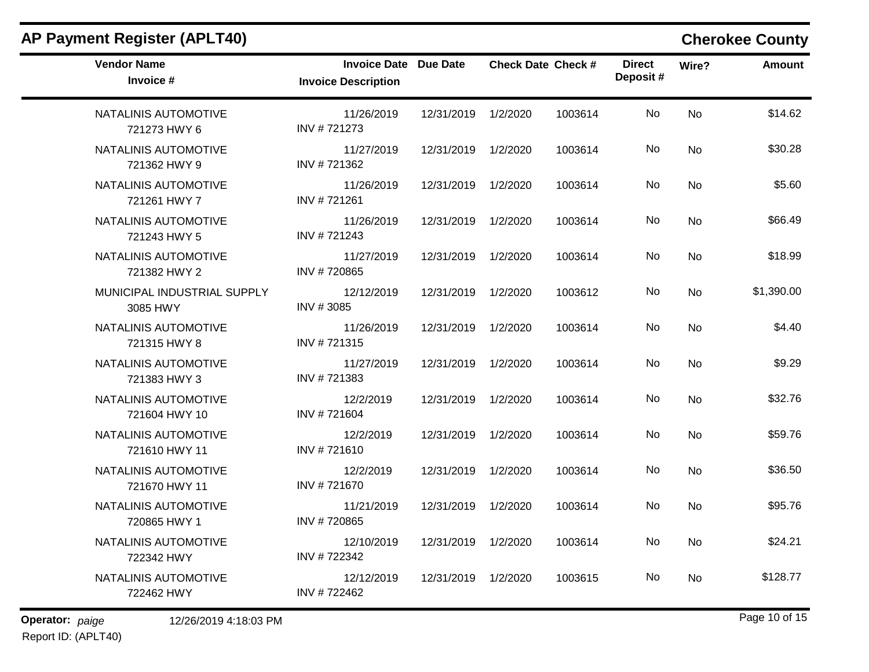| <b>AP Payment Register (APLT40)</b>     |                                                            |                     |                           |         |                           |       | <b>Cherokee County</b> |
|-----------------------------------------|------------------------------------------------------------|---------------------|---------------------------|---------|---------------------------|-------|------------------------|
| <b>Vendor Name</b><br>Invoice #         | <b>Invoice Date Due Date</b><br><b>Invoice Description</b> |                     | <b>Check Date Check #</b> |         | <b>Direct</b><br>Deposit# | Wire? | <b>Amount</b>          |
| NATALINIS AUTOMOTIVE<br>721273 HWY 6    | 11/26/2019<br>INV #721273                                  | 12/31/2019          | 1/2/2020                  | 1003614 | No                        | No    | \$14.62                |
| NATALINIS AUTOMOTIVE<br>721362 HWY 9    | 11/27/2019<br>INV #721362                                  | 12/31/2019 1/2/2020 |                           | 1003614 | No                        | No    | \$30.28                |
| NATALINIS AUTOMOTIVE<br>721261 HWY 7    | 11/26/2019<br>INV #721261                                  | 12/31/2019          | 1/2/2020                  | 1003614 | No                        | No    | \$5.60                 |
| NATALINIS AUTOMOTIVE<br>721243 HWY 5    | 11/26/2019<br>INV #721243                                  | 12/31/2019          | 1/2/2020                  | 1003614 | No                        | No    | \$66.49                |
| NATALINIS AUTOMOTIVE<br>721382 HWY 2    | 11/27/2019<br>INV #720865                                  | 12/31/2019          | 1/2/2020                  | 1003614 | No                        | No    | \$18.99                |
| MUNICIPAL INDUSTRIAL SUPPLY<br>3085 HWY | 12/12/2019<br>INV #3085                                    | 12/31/2019          | 1/2/2020                  | 1003612 | No                        | No    | \$1,390.00             |
| NATALINIS AUTOMOTIVE<br>721315 HWY 8    | 11/26/2019<br>INV #721315                                  | 12/31/2019          | 1/2/2020                  | 1003614 | No                        | No    | \$4.40                 |
| NATALINIS AUTOMOTIVE<br>721383 HWY 3    | 11/27/2019<br>INV #721383                                  | 12/31/2019          | 1/2/2020                  | 1003614 | No                        | No    | \$9.29                 |
| NATALINIS AUTOMOTIVE<br>721604 HWY 10   | 12/2/2019<br>INV #721604                                   | 12/31/2019 1/2/2020 |                           | 1003614 | No                        | No    | \$32.76                |
| NATALINIS AUTOMOTIVE<br>721610 HWY 11   | 12/2/2019<br>INV #721610                                   | 12/31/2019          | 1/2/2020                  | 1003614 | No                        | No    | \$59.76                |
| NATALINIS AUTOMOTIVE<br>721670 HWY 11   | 12/2/2019<br>INV #721670                                   | 12/31/2019          | 1/2/2020                  | 1003614 | No                        | No    | \$36.50                |
| NATALINIS AUTOMOTIVE<br>720865 HWY 1    | 11/21/2019<br>INV #720865                                  | 12/31/2019          | 1/2/2020                  | 1003614 | No                        | No.   | \$95.76                |
| NATALINIS AUTOMOTIVE<br>722342 HWY      | 12/10/2019<br>INV #722342                                  | 12/31/2019 1/2/2020 |                           | 1003614 | No                        | No    | \$24.21                |
| NATALINIS AUTOMOTIVE<br>722462 HWY      | 12/12/2019<br>INV #722462                                  | 12/31/2019 1/2/2020 |                           | 1003615 | No                        | No    | \$128.77               |

**Operator:** paige 12/26/2019 4:18:03 PM Report ID: (APLT40)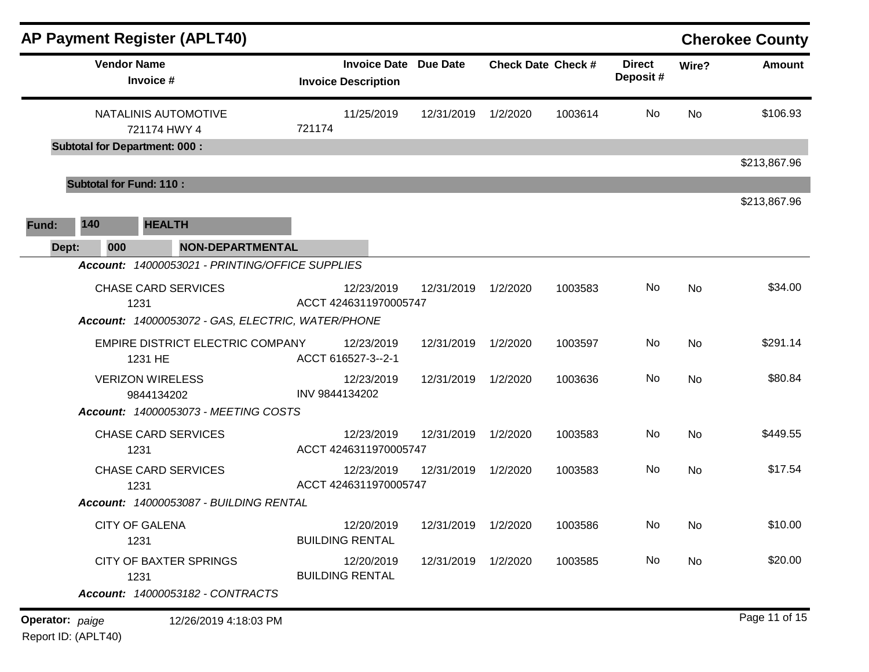|                        |                                | <b>AP Payment Register (APLT40)</b>                |                |                                                            |                     |          |                           |                           |           | <b>Cherokee County</b> |
|------------------------|--------------------------------|----------------------------------------------------|----------------|------------------------------------------------------------|---------------------|----------|---------------------------|---------------------------|-----------|------------------------|
|                        |                                | <b>Vendor Name</b><br>Invoice #                    |                | <b>Invoice Date Due Date</b><br><b>Invoice Description</b> |                     |          | <b>Check Date Check #</b> | <b>Direct</b><br>Deposit# | Wire?     | <b>Amount</b>          |
|                        |                                | NATALINIS AUTOMOTIVE<br>721174 HWY 4               | 721174         | 11/25/2019                                                 | 12/31/2019          | 1/2/2020 | 1003614                   | No                        | <b>No</b> | \$106.93               |
|                        |                                | <b>Subtotal for Department: 000:</b>               |                |                                                            |                     |          |                           |                           |           |                        |
|                        |                                |                                                    |                |                                                            |                     |          |                           |                           |           | \$213,867.96           |
|                        | <b>Subtotal for Fund: 110:</b> |                                                    |                |                                                            |                     |          |                           |                           |           | \$213,867.96           |
| Fund:                  | 140                            | <b>HEALTH</b>                                      |                |                                                            |                     |          |                           |                           |           |                        |
| Dept:                  | 000                            | <b>NON-DEPARTMENTAL</b>                            |                |                                                            |                     |          |                           |                           |           |                        |
|                        |                                | Account: 14000053021 - PRINTING/OFFICE SUPPLIES    |                |                                                            |                     |          |                           |                           |           |                        |
|                        |                                | <b>CHASE CARD SERVICES</b><br>1231                 |                | 12/23/2019<br>ACCT 4246311970005747                        | 12/31/2019          | 1/2/2020 | 1003583                   | No                        | <b>No</b> | \$34.00                |
|                        |                                | Account: 14000053072 - GAS, ELECTRIC, WATER/PHONE  |                |                                                            |                     |          |                           |                           |           |                        |
|                        |                                | <b>EMPIRE DISTRICT ELECTRIC COMPANY</b><br>1231 HE |                | 12/23/2019<br>ACCT 616527-3--2-1                           | 12/31/2019          | 1/2/2020 | 1003597                   | No                        | <b>No</b> | \$291.14               |
|                        |                                | <b>VERIZON WIRELESS</b><br>9844134202              | INV 9844134202 | 12/23/2019                                                 | 12/31/2019          | 1/2/2020 | 1003636                   | No                        | <b>No</b> | \$80.84                |
|                        |                                | Account: 14000053073 - MEETING COSTS               |                |                                                            |                     |          |                           |                           |           |                        |
|                        |                                | <b>CHASE CARD SERVICES</b><br>1231                 |                | 12/23/2019<br>ACCT 4246311970005747                        | 12/31/2019          | 1/2/2020 | 1003583                   | No                        | <b>No</b> | \$449.55               |
|                        |                                | <b>CHASE CARD SERVICES</b><br>1231                 |                | 12/23/2019<br>ACCT 4246311970005747                        | 12/31/2019          | 1/2/2020 | 1003583                   | No                        | <b>No</b> | \$17.54                |
|                        |                                | Account: 14000053087 - BUILDING RENTAL             |                |                                                            |                     |          |                           |                           |           |                        |
|                        |                                | <b>CITY OF GALENA</b><br>1231                      |                | 12/20/2019<br><b>BUILDING RENTAL</b>                       | 12/31/2019 1/2/2020 |          | 1003586                   | No                        | No.       | \$10.00                |
|                        |                                | <b>CITY OF BAXTER SPRINGS</b><br>1231              |                | 12/20/2019<br><b>BUILDING RENTAL</b>                       | 12/31/2019 1/2/2020 |          | 1003585                   | No                        | No        | \$20.00                |
|                        |                                | Account: 14000053182 - CONTRACTS                   |                |                                                            |                     |          |                           |                           |           |                        |
| <b>Operator:</b> paige |                                | 12/26/2019 4:18:03 PM                              |                |                                                            |                     |          |                           |                           |           | Page 11 of 15          |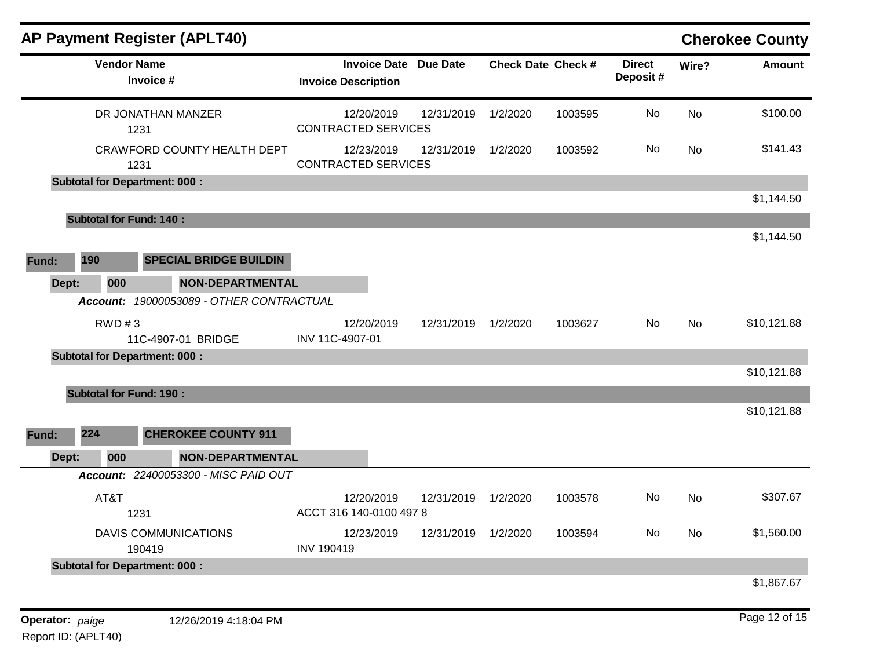|       |                                      | AP Payment Register (APLT40)             |                   |                                                            |            |                           |         |                           |           | <b>Cherokee County</b> |
|-------|--------------------------------------|------------------------------------------|-------------------|------------------------------------------------------------|------------|---------------------------|---------|---------------------------|-----------|------------------------|
|       | <b>Vendor Name</b><br>Invoice #      |                                          |                   | <b>Invoice Date Due Date</b><br><b>Invoice Description</b> |            | <b>Check Date Check #</b> |         | <b>Direct</b><br>Deposit# | Wire?     | <b>Amount</b>          |
|       | 1231                                 | DR JONATHAN MANZER                       |                   | 12/20/2019<br><b>CONTRACTED SERVICES</b>                   | 12/31/2019 | 1/2/2020                  | 1003595 | No                        | <b>No</b> | \$100.00               |
|       | 1231                                 | CRAWFORD COUNTY HEALTH DEPT              |                   | 12/23/2019<br><b>CONTRACTED SERVICES</b>                   | 12/31/2019 | 1/2/2020                  | 1003592 | No                        | <b>No</b> | \$141.43               |
|       | <b>Subtotal for Department: 000:</b> |                                          |                   |                                                            |            |                           |         |                           |           |                        |
|       |                                      |                                          |                   |                                                            |            |                           |         |                           |           | \$1,144.50             |
|       | <b>Subtotal for Fund: 140:</b>       |                                          |                   |                                                            |            |                           |         |                           |           |                        |
|       |                                      |                                          |                   |                                                            |            |                           |         |                           |           | \$1,144.50             |
| Fund: | 190                                  | <b>SPECIAL BRIDGE BUILDIN</b>            |                   |                                                            |            |                           |         |                           |           |                        |
| Dept: | 000                                  | <b>NON-DEPARTMENTAL</b>                  |                   |                                                            |            |                           |         |                           |           |                        |
|       |                                      | Account: 19000053089 - OTHER CONTRACTUAL |                   |                                                            |            |                           |         |                           |           |                        |
|       | RWD #3                               | 11C-4907-01 BRIDGE                       | INV 11C-4907-01   | 12/20/2019                                                 | 12/31/2019 | 1/2/2020                  | 1003627 | No                        | No        | \$10,121.88            |
|       | <b>Subtotal for Department: 000:</b> |                                          |                   |                                                            |            |                           |         |                           |           |                        |
|       |                                      |                                          |                   |                                                            |            |                           |         |                           |           | \$10,121.88            |
|       | <b>Subtotal for Fund: 190:</b>       |                                          |                   |                                                            |            |                           |         |                           |           |                        |
|       |                                      |                                          |                   |                                                            |            |                           |         |                           |           | \$10,121.88            |
| Fund: | 224                                  | <b>CHEROKEE COUNTY 911</b>               |                   |                                                            |            |                           |         |                           |           |                        |
| Dept: | 000                                  | <b>NON-DEPARTMENTAL</b>                  |                   |                                                            |            |                           |         |                           |           |                        |
|       |                                      | Account: 22400053300 - MISC PAID OUT     |                   |                                                            |            |                           |         |                           |           |                        |
|       | AT&T                                 |                                          |                   | 12/20/2019                                                 | 12/31/2019 | 1/2/2020                  | 1003578 | No                        | <b>No</b> | \$307.67               |
|       | 1231                                 |                                          |                   | ACCT 316 140-0100 497 8                                    |            |                           |         |                           |           |                        |
|       | 190419                               | <b>DAVIS COMMUNICATIONS</b>              | <b>INV 190419</b> | 12/23/2019                                                 | 12/31/2019 | 1/2/2020                  | 1003594 | No                        | <b>No</b> | \$1,560.00             |
|       | <b>Subtotal for Department: 000:</b> |                                          |                   |                                                            |            |                           |         |                           |           |                        |
|       |                                      |                                          |                   |                                                            |            |                           |         |                           |           | \$1,867.67             |
|       |                                      |                                          |                   |                                                            |            |                           |         |                           |           |                        |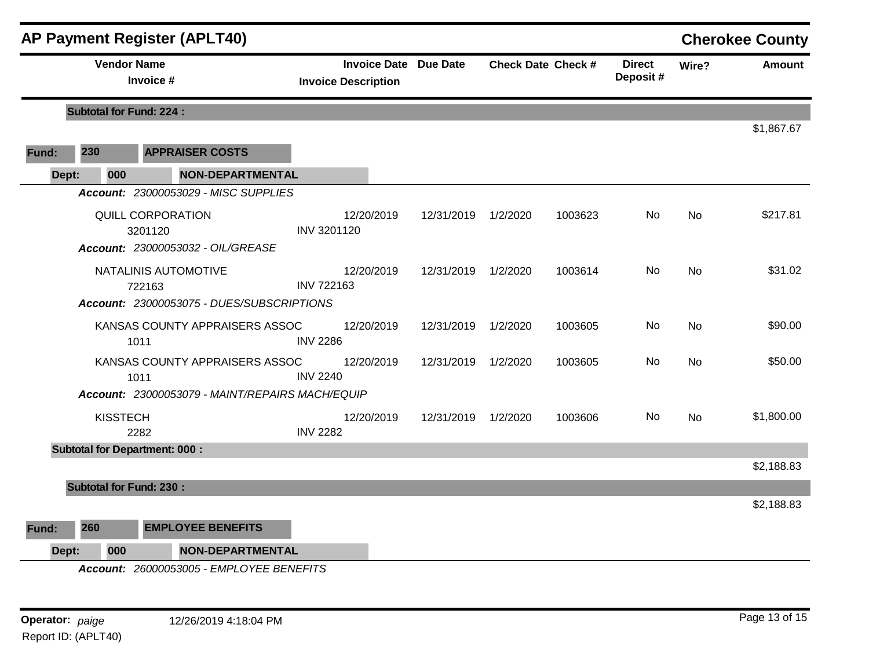|                                 |                                | <b>AP Payment Register (APLT40)</b>                        |                                 |                     |                           |                           |       |               | <b>Cherokee County</b> |
|---------------------------------|--------------------------------|------------------------------------------------------------|---------------------------------|---------------------|---------------------------|---------------------------|-------|---------------|------------------------|
| <b>Vendor Name</b><br>Invoice # |                                | <b>Invoice Date Due Date</b><br><b>Invoice Description</b> |                                 |                     | <b>Check Date Check #</b> | <b>Direct</b><br>Deposit# | Wire? | <b>Amount</b> |                        |
|                                 | <b>Subtotal for Fund: 224:</b> |                                                            |                                 |                     |                           |                           |       |               |                        |
|                                 |                                |                                                            |                                 |                     |                           |                           |       |               | \$1,867.67             |
| Fund:                           | 230                            | <b>APPRAISER COSTS</b>                                     |                                 |                     |                           |                           |       |               |                        |
| Dept:                           | 000                            | <b>NON-DEPARTMENTAL</b>                                    |                                 |                     |                           |                           |       |               |                        |
|                                 |                                | Account: 23000053029 - MISC SUPPLIES                       |                                 |                     |                           |                           |       |               |                        |
|                                 |                                | QUILL CORPORATION<br>3201120                               | 12/20/2019<br>INV 3201120       | 12/31/2019 1/2/2020 |                           | 1003623                   | No.   | No            | \$217.81               |
|                                 |                                | Account: 23000053032 - OIL/GREASE                          |                                 |                     |                           |                           |       |               |                        |
|                                 |                                | NATALINIS AUTOMOTIVE<br>722163                             | 12/20/2019<br><b>INV 722163</b> | 12/31/2019          | 1/2/2020                  | 1003614                   | No    | <b>No</b>     | \$31.02                |
|                                 |                                | Account: 23000053075 - DUES/SUBSCRIPTIONS                  |                                 |                     |                           |                           |       |               |                        |
|                                 |                                | KANSAS COUNTY APPRAISERS ASSOC<br>1011                     | 12/20/2019<br><b>INV 2286</b>   | 12/31/2019 1/2/2020 |                           | 1003605                   | No    | No            | \$90.00                |
|                                 |                                | KANSAS COUNTY APPRAISERS ASSOC<br>1011                     | 12/20/2019<br><b>INV 2240</b>   | 12/31/2019 1/2/2020 |                           | 1003605                   | No    | <b>No</b>     | \$50.00                |
|                                 |                                | Account: 23000053079 - MAINT/REPAIRS MACH/EQUIP            |                                 |                     |                           |                           |       |               |                        |
|                                 | <b>KISSTECH</b>                | 2282                                                       | 12/20/2019<br><b>INV 2282</b>   | 12/31/2019 1/2/2020 |                           | 1003606                   | No.   | <b>No</b>     | \$1,800.00             |
|                                 |                                | <b>Subtotal for Department: 000:</b>                       |                                 |                     |                           |                           |       |               |                        |
|                                 |                                |                                                            |                                 |                     |                           |                           |       |               | \$2,188.83             |
|                                 | <b>Subtotal for Fund: 230:</b> |                                                            |                                 |                     |                           |                           |       |               |                        |
|                                 |                                |                                                            |                                 |                     |                           |                           |       |               | \$2,188.83             |
| Fund:                           | 260                            | <b>EMPLOYEE BENEFITS</b>                                   |                                 |                     |                           |                           |       |               |                        |
| Dept:                           | 000                            | <b>NON-DEPARTMENTAL</b>                                    |                                 |                     |                           |                           |       |               |                        |
|                                 |                                | Account: 26000053005 - EMPLOYEE BENEFITS                   |                                 |                     |                           |                           |       |               |                        |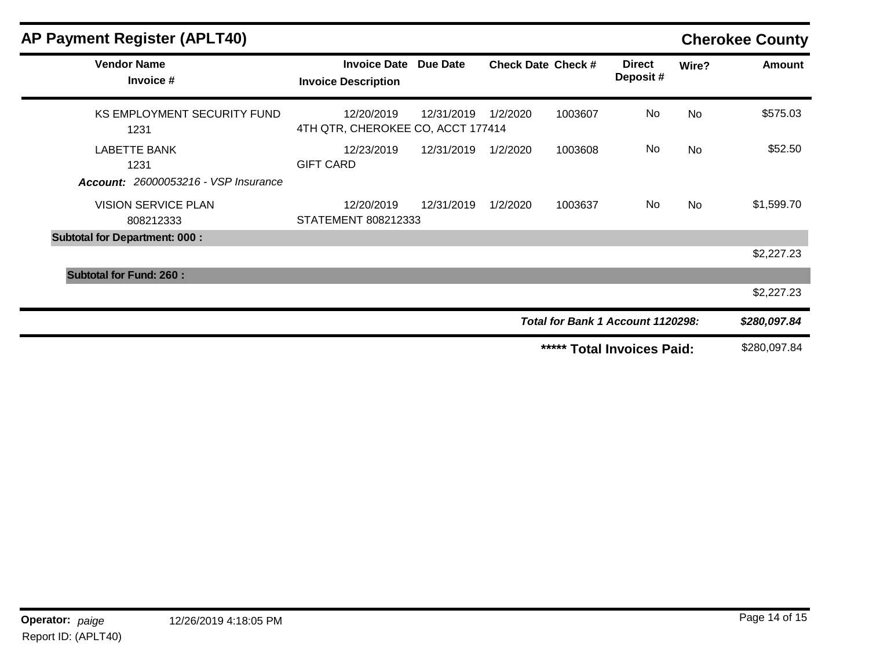| <b>AP Payment Register (APLT40)</b>         |                                                            |            |                           |                                   |                             | <b>Cherokee County</b> |               |
|---------------------------------------------|------------------------------------------------------------|------------|---------------------------|-----------------------------------|-----------------------------|------------------------|---------------|
| <b>Vendor Name</b><br>Invoice #             | <b>Invoice Date Due Date</b><br><b>Invoice Description</b> |            | <b>Check Date Check #</b> |                                   | <b>Direct</b><br>Deposit#   | Wire?                  | <b>Amount</b> |
| <b>KS EMPLOYMENT SECURITY FUND</b><br>1231  | 12/20/2019<br>4TH QTR, CHEROKEE CO, ACCT 177414            | 12/31/2019 | 1/2/2020                  | 1003607                           | No                          | <b>No</b>              | \$575.03      |
| <b>LABETTE BANK</b><br>1231                 | 12/23/2019<br><b>GIFT CARD</b>                             | 12/31/2019 | 1/2/2020                  | 1003608                           | No                          | <b>No</b>              | \$52.50       |
| <b>Account: 26000053216 - VSP Insurance</b> |                                                            |            |                           |                                   |                             |                        |               |
| <b>VISION SERVICE PLAN</b><br>808212333     | 12/20/2019<br>STATEMENT 808212333                          | 12/31/2019 | 1/2/2020                  | 1003637                           | No.                         | No                     | \$1,599.70    |
| <b>Subtotal for Department: 000:</b>        |                                                            |            |                           |                                   |                             |                        |               |
|                                             |                                                            |            |                           |                                   |                             |                        | \$2,227.23    |
| <b>Subtotal for Fund: 260:</b>              |                                                            |            |                           |                                   |                             |                        |               |
|                                             |                                                            |            |                           |                                   |                             |                        | \$2,227.23    |
|                                             |                                                            |            |                           | Total for Bank 1 Account 1120298: |                             |                        | \$280,097.84  |
|                                             |                                                            |            |                           | *****                             | <b>Total Invoices Paid:</b> |                        | \$280,097.84  |